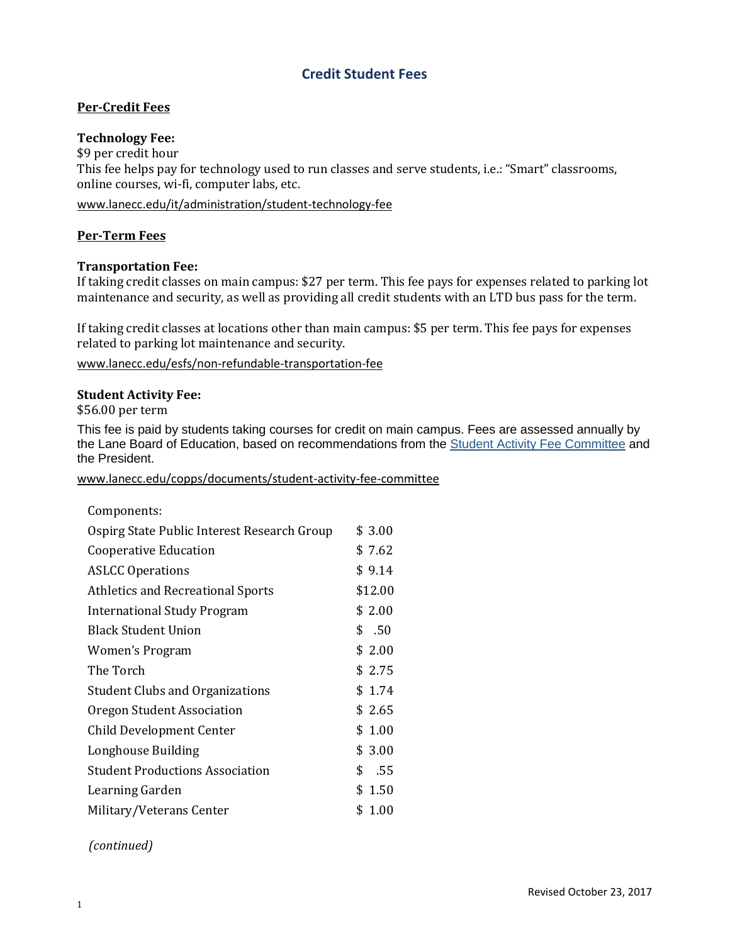# **Credit Student Fees**

# **Per-Credit Fees**

## **Technology Fee:**

\$9 per credit hour This fee helps pay for technology used to run classes and serve students, i.e.: "Smart" classrooms, online courses, wi-fi, computer labs, etc.

[www.lanecc.edu/it/administration/student-technology-fee](http://www.lanecc.edu/it/administration/student-technology-fee)

## **Per-Term Fees**

## **Transportation Fee:**

If taking credit classes on main campus: \$27 per term. This fee pays for expenses related to parking lot maintenance and security, as well as providing all credit students with an LTD bus pass for the term.

If taking credit classes at locations other than main campus: \$5 per term. This fee pays for expenses related to parking lot maintenance and security.

[www.lanecc.edu/esfs/non-refundable-transportation-fee](http://www.lanecc.edu/esfs/non-refundable-transportation-fee)

#### **Student Activity Fee:**

\$56.00 per term

This fee is paid by students taking courses for credit on main campus. Fees are assessed annually by the Lane Board of Education, based on recommendations from the **Student Activity Fee [Committee](https://www.lanecc.edu/copps/documents/student-activity-fee-committee)** and the President.

www.lanecc.edu/copps/documents/student-activity-fee-committee

| Components:                                 |            |
|---------------------------------------------|------------|
| Ospirg State Public Interest Research Group | \$3.00     |
| Cooperative Education                       | \$7.62     |
| <b>ASLCC Operations</b>                     | \$9.14     |
| <b>Athletics and Recreational Sports</b>    | \$12.00    |
| <b>International Study Program</b>          | \$2.00     |
| <b>Black Student Union</b>                  | \$.50      |
| Women's Program                             | \$2.00     |
| The Torch                                   | \$2.75     |
| <b>Student Clubs and Organizations</b>      | \$1.74     |
| Oregon Student Association                  | \$2.65     |
| <b>Child Development Center</b>             | \$1.00     |
| Longhouse Building                          | \$3.00     |
| <b>Student Productions Association</b>      | \$<br>.55  |
| Learning Garden                             | \$<br>1.50 |
| Military/Veterans Center                    | \$1.00     |

## *(continued)*